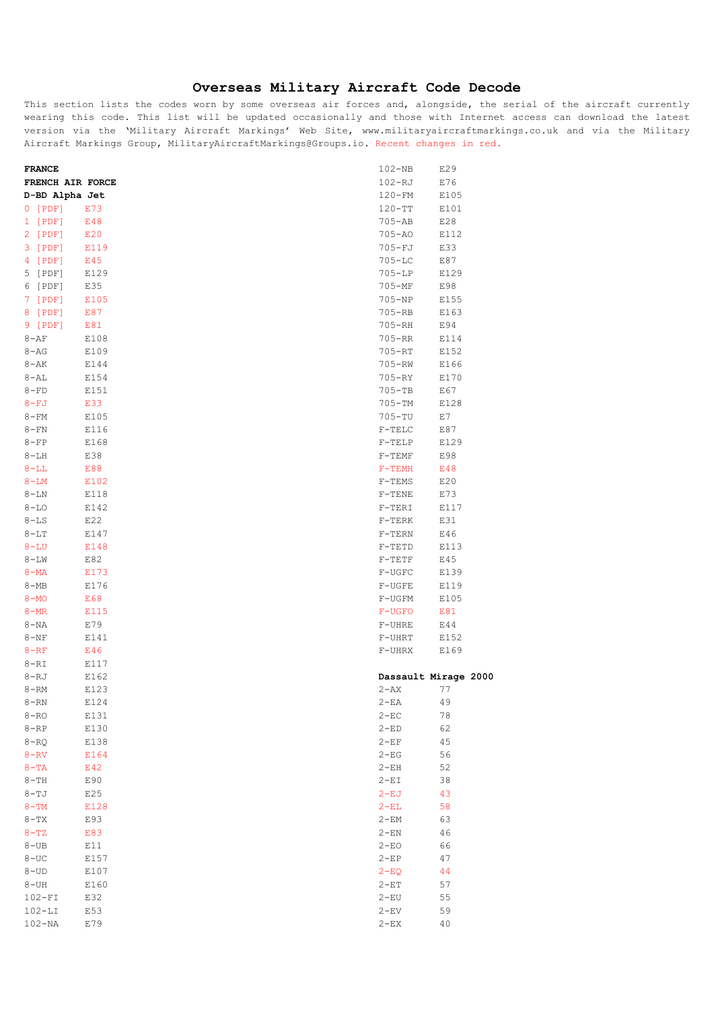## **Overseas Military Aircraft Code Decode**

This section lists the codes worn by some overseas air forces and, alongside, the serial of the aircraft currently wearing this code. This list will be updated occasionally and those with Internet access can download the latest version via the 'Military Aircraft Markings' Web Site, www.militaryaircraftmarkings.co.uk and via the Military Aircraft Markings Group, MilitaryAircraftMarkings@Groups.io. Recent changes in red.

| <b>FRANCE</b>    |      | $102 - NB$           | E29  |
|------------------|------|----------------------|------|
| FRENCH AIR FORCE |      | 102-RJ               | E76  |
| D-BD Alpha Jet   |      | 120-FM               | E105 |
| 0 [PDF]          | E73  | $120-TT$             | E101 |
| 1 [PDF]          | E48  | $705 - AB$           | E28  |
| 2 [PDF]          | E20  | $705 - A0$           | E112 |
| 3 [PDF]          | E119 | $705 - FJ$           | E33  |
| 4 [PDF]          | E45  | $705 - LC$           | E87  |
| 5 [PDF]          | E129 | $705 - LP$           | E129 |
| 6 [PDF]          | E35  | $705 - MF$           | E98  |
| 7 [PDF]          | E105 | $705 - NP$           | E155 |
| 8 [PDF]          | E87  | $705 - RB$           | E163 |
| 9 [PDF]          | E81  | 705-RH               | E94  |
| $8 - AF$         | E108 | $705 - RR$           | E114 |
| $8 - AG$         | E109 | $705 - RT$           | E152 |
| 8-AK             | E144 | $705 - RW$           | E166 |
| $8 - AL$         | E154 | $705 - RY$           | E170 |
| $8-FD$           | E151 | $705 - TB$           | E67  |
| $8-FJ$           | E33  | 705-TM               | E128 |
| $8 - FM$         | E105 | 705-TU               | E7   |
| 8-FN             | E116 | $F-TELC$             | E87  |
| $8-FP$           | E168 | $F-TELP$             | E129 |
| $8 - LH$         | E38  | $F-TEMF$             | E98  |
| $8 - LL$         | E88  | $F-TEMH$             | E48  |
| $8 - LM$         | E102 | $F-TEMS$             | E20  |
| $8 - LN$         | E118 | $F-TENE$             | E73  |
| $8 - LO$         | E142 | $F-TERI$             | E117 |
| $8 - LS$         | E22  | $F-TERK$             | E31  |
| $8 - LT$         | E147 | $F-TERN$             | E46  |
| $8 - L U$        | E148 | $F-TETD$             | E113 |
| $8 - \Gamma M$   | E82  | $F-TETF$             | E45  |
| $8 - MA$         | E173 | $F-UGFC$             | E139 |
| $8 - MB$         | E176 | F-UGFE               | E119 |
| $8 - MO$         | E68  | F-UGFM               | E105 |
| $8 - MR$         | E115 | $F-UGFO$             | E81  |
| 8-NA             | E79  | F-UHRE               | E44  |
| $8 - NF$         | E141 | $F-UHRT$             | E152 |
| $8 - RF$         | E46  | F-UHRX               | E169 |
| 8-RI             | E117 |                      |      |
| $8 - RJ$         | E162 | Dassault Mirage 2000 |      |
| $8 - RM$         | E123 | $2 - AX$             | 77   |
| $8 - RN$         | E124 | $2 - EA$             | 49   |
| 8-RO             | E131 | 2-EC                 | 78   |
| $8 - RP$         | E130 | $2 - ED$             | 62   |
| 8-RQ             | E138 | $2-EF$               | 45   |
| $8 - RV$         | E164 | $2 - EG$             | 56   |
| $8-TA$           | E42  | $2-EH$               | 52   |
| $8-TH$           | E90  | $2-EI$               | 38   |
| $8- TJ$          | E25  | $2-EJ$               | 43   |
| $8-TM$           | E128 | $2-EL$               | 58   |
| $8-TX$           | E93  | 2-EM                 | 63   |
| $8 - TZ$         | E83  | $2 - EN$             | 46   |
| $8 - UB$         | E11  | $2 - EO$             | 66   |
| 8-UC             | E157 | $2-EP$               | 47   |
| $8 - UD$         | E107 | $2-EQ$               | 44   |
| 8-UH             | E160 | $2 - ET$             | 57   |
| $102-FI$         | E32  | $2 - EU$             | 55   |
| $102 - LI$       | E53  | $2 - EV$             | 59   |
| $102 - NA$       | E79  | $2 - EX$             | 40   |
|                  |      |                      |      |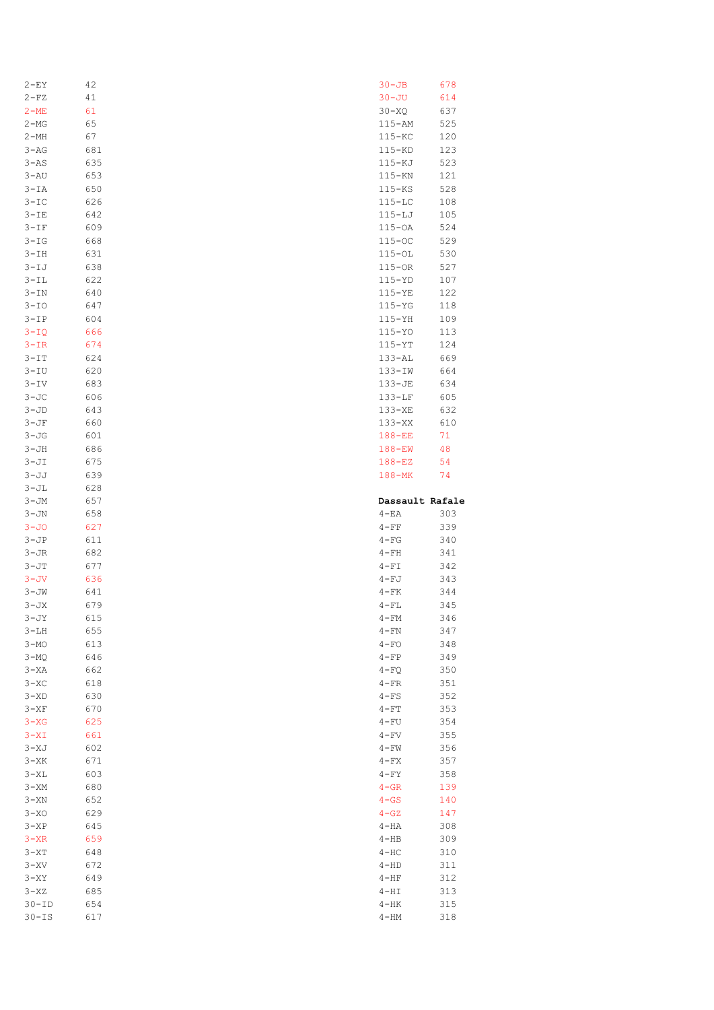| 2-EY                 | 42         | $30 - JB$          | 678        |
|----------------------|------------|--------------------|------------|
| $2-FZ$               | 41         | $30 - JU$          | 614        |
| $2-ME$               | 61         | $30 - XQ$          | 637        |
| $2-MG$               | 65         | 115-AM             | 525        |
| 2-MH                 | 67         | $115 - KC$         | 120        |
| $3 - AG$             | 681        | $115 - KD$         | 123        |
|                      |            |                    |            |
| $3 - AS$             | 635        | $115 - KJ$         | 523        |
| 3-AU                 | 653        | $115 - KN$         | 121        |
| $3-TA$               | 650        | $115 - KS$         | 528        |
| $3-IC$               | 626        | $115 - LC$         | 108        |
| $3-IE$               | 642        | $115 - LJ$         | 105        |
| $3-IF$               | 609        | $115-OA$           | 524        |
| $3 - IG$             | 668        | $115-OC$           | 529        |
| $3-TH$               | 631        | $115 - 0L$         | 530        |
| $3 - IJ$             | 638        | $115-OR$           | 527        |
| $3-TL$               | 622        | $115 - YD$         | 107        |
| $3 - IN$             | 640        | $115 - YE$         | 122        |
|                      |            |                    |            |
| $3-IO$               | 647        | $115 - YG$         | 118        |
| $3-IP$               | 604        | $115 - YH$         | 109        |
| $3 - IQ$             | 666        | $115 - YO$         | 113        |
| $3 - IR$             | 674        | $115 - YT$         | 124        |
| $3-TT$               | 624        | $133 - AL$         | 669        |
| $3 - IU$             | 620        | $133 - IN$         | 664        |
| $3 - IV$             | 683        | 133-JE             | 634        |
| $3 - JC$             | 606        | $133 - LF$         | 605        |
| $3-JD$               | 643        | 133-XE             | 632        |
| $3 - JF$             | 660        | $133 - XX$         | 610        |
| $3-JG$               | 601        | $188 - EE$         | 71         |
|                      |            |                    |            |
| $3 - JH$             | 686        | $188 - EW$         | 48         |
| $3 - JI$             | 675        | $188 - EZ$         | 54         |
| $3 - JJ$             | 639        | $188 - MK$         | 74         |
| $3-JL$               | 628        |                    |            |
|                      |            |                    |            |
| $3 - JM$             | 657        | Dassault Rafale    |            |
| $3 - JN$             | 658        | $4-EA$             | 303        |
| $3 - JO$             | 627        | $4 - FF$           | 339        |
| $3-JP$               | 611        | $4-FG$             | 340        |
| $3 - JR$             | 682        | $4-FH$             | 341        |
|                      |            |                    |            |
| $3 - JT$             | 677        | $4-FI$             | 342        |
| $3 - JV$             | 636        | $4-FJ$             | 343        |
| $3 - JW$             | 641        | $4-FK$             | 344        |
| $3 - JX$             | 679        | $4-FL$             | 345        |
| $3 - JY$             | 615        | 4 – FM             | 346        |
| $3-LH$               | 655        | 4-FN               | 347        |
| $3 - MO$             | 613        | $4 - FO$           | 348        |
| $3-MQ$               | 646        | $4 - FP$           | 349        |
| $3 - XA$             | 662        | $4-FQ$             | 350        |
| $3-XC$               | 618        | $4-FR$             | 351        |
| $3 - \mathsf{XD}$    | 630        | $4-FS$             | 352        |
| $3 - XF$             | 670        | $4-FT$             | 353        |
| $3 - XG$             | 625        | $4-FU$             | 354        |
|                      |            |                    |            |
| $3 - XI$             | 661        | $4-FV$             | 355        |
| $3 - XJ$             | 602        | 4 – FW             | 356        |
| $3 - XK$             | 671        | $4-FX$             | 357        |
| $3 - XL$             | 603        | $4-FY$             | 358        |
| $3 - XM$             | 680        | $4 - GR$           | 139        |
| $3 - XN$             | 652        | $4 - GS$           | 140        |
| $3 - XO$             | 629        | $4 - GZ$           | 147        |
| $3 - XP$             | 645        | $4-HA$             | 308        |
| $3 - XR$             | 659        | $4 - HB$           | 309        |
| $3 - XT$             | 648        | $4-HC$             | 310        |
| $3 - XV$             | 672        | $4 - HD$           | 311        |
| $3 - XY$             | 649        | $4-HF$             | 312        |
| $3 - XZ$             | 685        | $4-HI$             | 313        |
|                      |            |                    |            |
| $30-TD$<br>$30 - IS$ | 654<br>617 | $4-HK$<br>$4 - HM$ | 315<br>318 |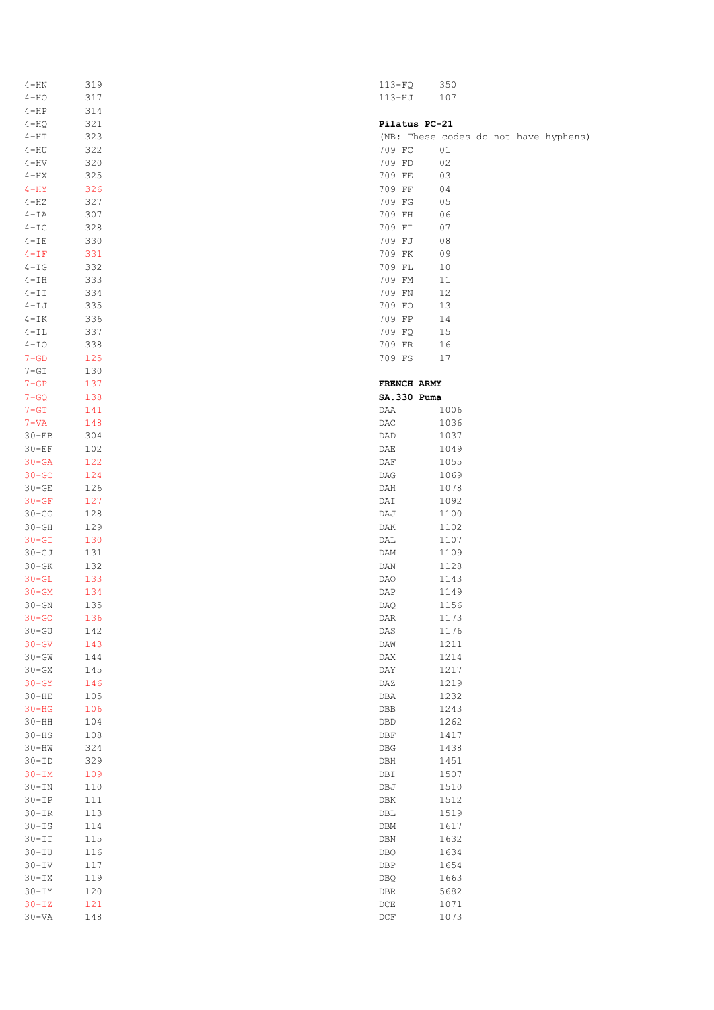| $4 - HN$           | 319       | $113-FQ$                    | 350                                   |
|--------------------|-----------|-----------------------------|---------------------------------------|
| $4 - HO$           | 317       | $113 - HJ$                  | 107                                   |
| $4-HP$             | 314       |                             |                                       |
| $4-HQ$             | 321       | Pilatus PC-21               |                                       |
|                    | 323       |                             |                                       |
| $4 - HT$           |           |                             | (NB: These codes do not have hyphens) |
| $4 - HU$           | 322       | 709 FC                      | 01                                    |
| $4 - HV$           | 320       | 709 FD                      | $02\,$                                |
| $4 - HX$           | 325       | 709 FE                      | 03                                    |
| $4-HY$             | 326       | 709 FF                      | 04                                    |
| $4-HZ$             | 327       | 709 FG                      | 05                                    |
| $4 - IA$           | 307       | 709 FH                      | 06                                    |
| $4 - IC$           | 328       | 709 FI                      | 07                                    |
| $4 - IE$           | 330       | 709 FJ                      | 08                                    |
| $4-IF$             | 331       | 709 FK                      | 09                                    |
| $4-IG$             | 332       | 709 FL                      | 10                                    |
| $4-IH$             | 333       | 709 FM                      | $11\,$                                |
|                    |           |                             |                                       |
| $4-II$             | 334       | 709 FN                      | 12                                    |
| $4-IJ$             | 335       | 709 FO                      | 13                                    |
| $4 - IK$           | 336       | 709 FP                      | 14                                    |
| $4 - IL$           | 337       | 709 FQ                      | 15                                    |
| $4 - IO$           | 338       | 709 FR                      | 16                                    |
| $7 - GD$           | 125       | 709 FS                      | 17                                    |
| $7-GI$             | 130       |                             |                                       |
| $7 - GP$           | 137       | FRENCH ARMY                 |                                       |
| $7 - GQ$           | 138       | SA.330 Puma                 |                                       |
| $7 - GT$           | 141       | DAA                         | 1006                                  |
| $7 - VA$           | 148       | DAC                         | 1036                                  |
| $30 - EB$          | 304       | DAD                         | 1037                                  |
|                    |           |                             |                                       |
| $30 - EF$          | 102       | DAE                         | 1049                                  |
| $30 - GA$          | 122       | DAF                         | 1055                                  |
| $30 - GC$          | 124       | $\mathtt{DAG}$              | 1069                                  |
| $30 - GE$          | 126       | DAH                         | 1078                                  |
| $30 - GF$          | 127       | DAI                         | 1092                                  |
| $30 - GG$          | 128       | DAJ                         | 1100                                  |
| $30 - GH$          | 129       | DAK                         | 1102                                  |
| $30 - GT$          | 130       | DAL                         | 1107                                  |
| $30-GJ$            | 131       | DAM                         | 1109                                  |
| $30 - GK$          | 132       | DAN                         | 1128                                  |
| $30 - GL$          | 133       | DAO                         | 1143                                  |
| $30 - GM$          | 134       | DAP                         | 1149                                  |
| $30 - GN$          | 135       | DAQ                         | 1156                                  |
|                    |           |                             |                                       |
| $30 - GO$          | 136       | $\mathtt{DAR}$              | 1173                                  |
| $30 - GU$          | 142       | DAS                         | 1176                                  |
| $30 - GV$          | 143       | DAW                         | 1211                                  |
| $30 - GW$          | 144       | $\texttt{DAX}$              | 1214                                  |
| $30 - GX$          | 145       | $\texttt{DAY}$              | 1217                                  |
| $30 - GY$          | 146       | DAZ                         | 1219                                  |
| $30 - HE$          | $105$     | DBA                         | 1232                                  |
| $30-HG$            | 106       | ${\tt DBB}$                 | 1243                                  |
| $30-HH$            | 104       | $\texttt{DBD}$              | 1262                                  |
| $30-HS$            | 108       | DBF                         | 1417                                  |
| $30-HW$            | 324       | DBG                         | 1438                                  |
| $30-TD$            | 329       |                             | 1451                                  |
|                    |           | DBH                         |                                       |
| $30 - IM$          | 109       | DBI                         | 1507                                  |
| $30 - \texttt{IN}$ | 110       | DBJ                         | 1510                                  |
| $30-TP$            | $1\,1\,1$ | ${\tt DBK}$                 | 1512                                  |
| $30-TR$            | 113       | DBL                         | 1519                                  |
| $30 - IS$          | 114       | DBM                         | 1617                                  |
| $30-TT$            | 115       | $\mathtt{DBN}$              | 1632                                  |
| $30 - IU$          | 116       | $_{\rm DBO}$                | 1634                                  |
| $30 - IV$          | 117       | DBP                         | 1654                                  |
| $30 - \texttt{IX}$ | 119       | DBQ                         | 1663                                  |
| $30 - IY$          | 120       | ${\tt DBR}$                 | 5682                                  |
| $30 - IZ$          | 121       | $_{\rm DCE}$                | 1071                                  |
| $30 - VA$          | 148       | $\mathop{\rm DCF}\nolimits$ | 1073                                  |
|                    |           |                             |                                       |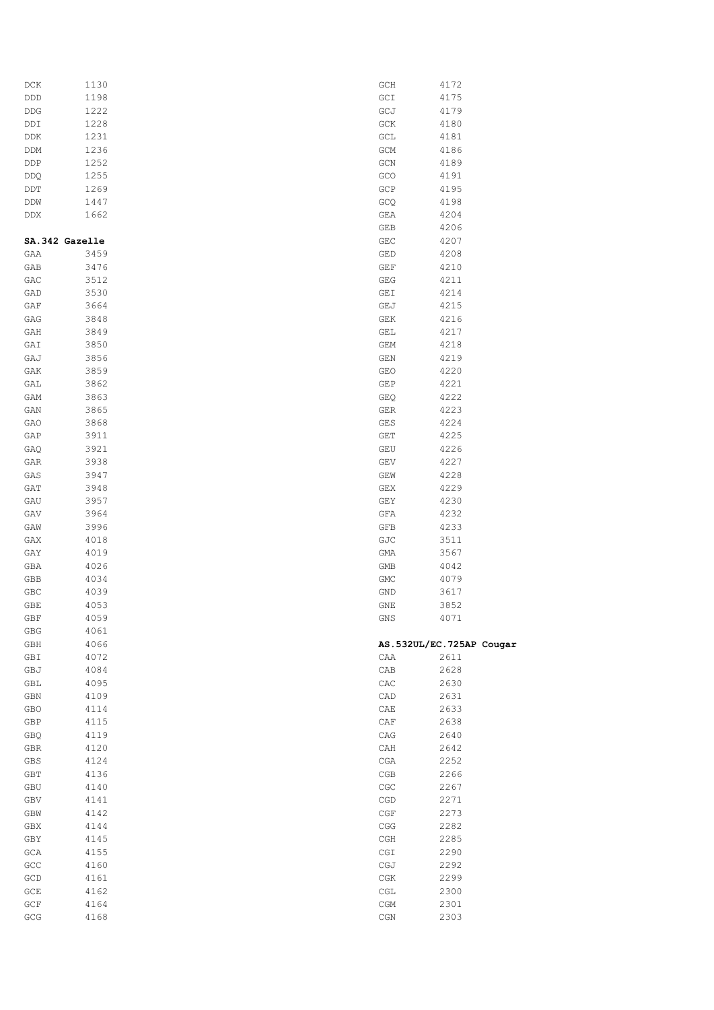| DCK            | 1130 | GCH                              | 4172                     |
|----------------|------|----------------------------------|--------------------------|
|                | 1198 | GCI                              | 4175                     |
| DDD            |      |                                  |                          |
| DDG            | 1222 | GCJ                              | 4179                     |
| DDI            | 1228 | GCK                              | 4180                     |
| DDK            | 1231 | GCL                              | 4181                     |
| DDM            | 1236 | GCM                              | 4186                     |
| DDP            | 1252 | GCN                              | 4189                     |
|                | 1255 | GCO                              | 4191                     |
| DDQ            |      |                                  |                          |
| DDT            | 1269 | GCP                              | 4195                     |
| DDW            | 1447 | GCQ                              | 4198                     |
| DDX            | 1662 | GEA                              | 4204                     |
|                |      | GEB                              | 4206                     |
| SA.342 Gazelle |      | ${\tt GEC}$                      | 4207                     |
| GAA            | 3459 | GED                              | 4208                     |
| GAB            | 3476 | $\mathop{\mathsf{GET}}$          | 4210                     |
|                |      |                                  |                          |
| GAC            | 3512 | ${\tt GEG}$                      | 4211                     |
| GAD            | 3530 | GEI                              | 4214                     |
| GAF            | 3664 | GEJ                              | 4215                     |
| GAG            | 3848 | GEK                              | 4216                     |
| GAH            | 3849 | GEL                              | 4217                     |
| GAI            | 3850 | GEM                              | 4218                     |
| GAJ            | 3856 | $\mathop{\mathsf{GEN}}$          | 4219                     |
|                |      |                                  |                          |
| GAK            | 3859 | GEO                              | 4220                     |
| GAL            | 3862 | GEP                              | 4221                     |
| GAM            | 3863 | GEQ                              | 4222                     |
| GAN            | 3865 | GER                              | 4223                     |
| GAO            | 3868 | GES                              | 4224                     |
| GAP            | 3911 | GET                              | 4225                     |
|                |      |                                  | 4226                     |
| GAQ            | 3921 | GEU                              |                          |
| GAR            | 3938 | GEV                              | 4227                     |
| GAS            | 3947 | GEW                              | 4228                     |
| GAT            | 3948 | GEX                              | 4229                     |
| GAU            | 3957 | GEY                              | 4230                     |
| GAV            | 3964 | GFA                              | 4232                     |
| GAW            | 3996 | GFB                              | 4233                     |
|                |      |                                  |                          |
| GAX            | 4018 | GJC                              | 3511                     |
| GAY            | 4019 | GMA                              | 3567                     |
| GBA            | 4026 | GMB                              | 4042                     |
| GBB            | 4034 | GMC                              | 4079                     |
| GBC            | 4039 | GND                              | 3617                     |
| GBE            | 4053 | GNE                              | 3852                     |
| GBF            | 4059 | GNS                              | 4071                     |
|                |      |                                  |                          |
| GBG            | 4061 |                                  |                          |
| GBH            | 4066 |                                  | AS.532UL/EC.725AP Cougar |
| GBI            | 4072 | CAA                              | 2611                     |
| GBJ            | 4084 | CAB                              | 2628                     |
| GBL            | 4095 | CAC                              | 2630                     |
| GBN            | 4109 | CAD                              | 2631                     |
| GBO            | 4114 | CAE                              | 2633                     |
| GBP            | 4115 | $_{\rm CAP}$                     | 2638                     |
|                | 4119 |                                  | 2640                     |
| GBQ            |      | CAG                              |                          |
| GBR            | 4120 | CAH                              | 2642                     |
| GBS            | 4124 | $_{\tt CGA}$                     | 2252                     |
| GBT            | 4136 | CGB                              | 2266                     |
| GBU            | 4140 | CGC                              | 2267                     |
| GBV            | 4141 | CGD                              | 2271                     |
| GBW            | 4142 | $\mathbb C \mathbb G \mathbb F$  | 2273                     |
| GBX            | 4144 | $\mathbb{CGG}$                   | 2282                     |
|                |      |                                  |                          |
| GBY            | 4145 | $\mathbb C\mathbb{GH}$           | 2285                     |
| GCA            | 4155 | $\mathbb{C}\mathbb{G}\mathbb{I}$ | 2290                     |
| GCC            | 4160 | CGJ                              | 2292                     |
| GCD            | 4161 | $\mathbb C\mathbb G\mathbb K$    | 2299                     |
| ${\tt GCE}$    | 4162 | CGL                              | 2300                     |
| GCF            | 4164 | CGM                              | 2301                     |
|                | 4168 | $_{\rm CGN}$                     | 2303                     |
| $\mathsf{GCG}$ |      |                                  |                          |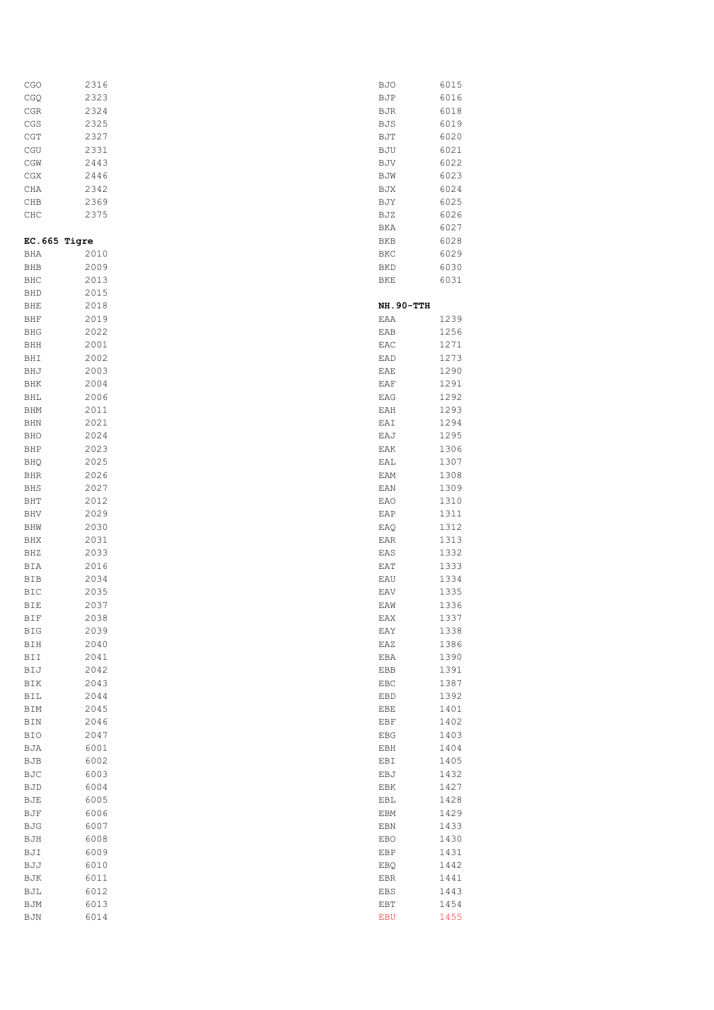| CGO          | 2316 | <b>BJO</b> | 6015 |
|--------------|------|------------|------|
| CGQ          | 2323 | BJP        | 6016 |
|              | 2324 |            | 6018 |
| CGR          |      | BJR        |      |
| CGS          | 2325 | BJS        | 6019 |
| CGT          | 2327 | BJT        | 6020 |
| CGU          | 2331 | BJU        | 6021 |
| CGW          | 2443 | BJV        | 6022 |
| CGX          | 2446 | BJW        | 6023 |
| CHA          | 2342 | BJX        | 6024 |
| CHB          | 2369 | BJY        | 6025 |
| CHC          | 2375 | BJZ        | 6026 |
|              |      | BKA        | 6027 |
| EC.665 Tigre |      | BKB        | 6028 |
|              |      |            |      |
| BHA          | 2010 | BKC        | 6029 |
| <b>BHB</b>   | 2009 | <b>BKD</b> | 6030 |
| BHC          | 2013 | BKE        | 6031 |
| BHD          | 2015 |            |      |
| BHE          | 2018 | NH.90-TTH  |      |
| BHF          | 2019 | EAA        | 1239 |
| BHG          | 2022 | EAB        | 1256 |
| BHH          | 2001 | EAC        | 1271 |
| BHI          | 2002 | EAD        | 1273 |
| BHJ          | 2003 | EAE        | 1290 |
| BHK          | 2004 | EAF        | 1291 |
| BHL          | 2006 | EAG        | 1292 |
|              |      |            |      |
| BHM          | 2011 | EAH        | 1293 |
| BHN          | 2021 | EAI        | 1294 |
| BHO          | 2024 | EAJ        | 1295 |
| BHP          | 2023 | EAK        | 1306 |
| BHQ          | 2025 | EAL        | 1307 |
| BHR          | 2026 | EAM        | 1308 |
| BHS          | 2027 | EAN        | 1309 |
| BHT          | 2012 | EAO        | 1310 |
| BHV          | 2029 | EAP        | 1311 |
| BHW          | 2030 | EAQ        | 1312 |
| BHX          | 2031 | EAR        | 1313 |
| BHZ          | 2033 | EAS        | 1332 |
|              | 2016 |            |      |
| BIA          |      | EAT        | 1333 |
| BIB          | 2034 | EAU        | 1334 |
| BIC          | 2035 | EAV        | 1335 |
| BIE          | 2037 | EAW        | 1336 |
| BIF          | 2038 | EAX        | 1337 |
| BIG          | 2039 | EAY        | 1338 |
| BIH          | 2040 | EAZ        | 1386 |
| BII          | 2041 | EBA        | 1390 |
| BIJ          | 2042 | EBB        | 1391 |
| BIK          | 2043 | EBC        | 1387 |
| BIL          | 2044 | EBD        | 1392 |
| BIM          | 2045 | EBE        | 1401 |
| BIN          | 2046 | EBF        | 1402 |
| BIO          | 2047 | EBG        | 1403 |
|              |      |            |      |
| BJA          | 6001 | EBH        | 1404 |
| BJB          | 6002 | EBI        | 1405 |
| BJC          | 6003 | EBJ        | 1432 |
| BJD          | 6004 | EBK        | 1427 |
| BJE          | 6005 | EBL        | 1428 |
| BJF          | 6006 | EBM        | 1429 |
| BJG          | 6007 | EBN        | 1433 |
| BJH          | 6008 | EBO        | 1430 |
| BJI          | 6009 | EBP        | 1431 |
| BJJ          | 6010 | EBQ        | 1442 |
| BJK          | 6011 | EBR        | 1441 |
| BJL          | 6012 | EBS        | 1443 |
|              |      |            |      |
| BJM          | 6013 | EBT        | 1454 |
| BJN          | 6014 | <b>EBU</b> | 1455 |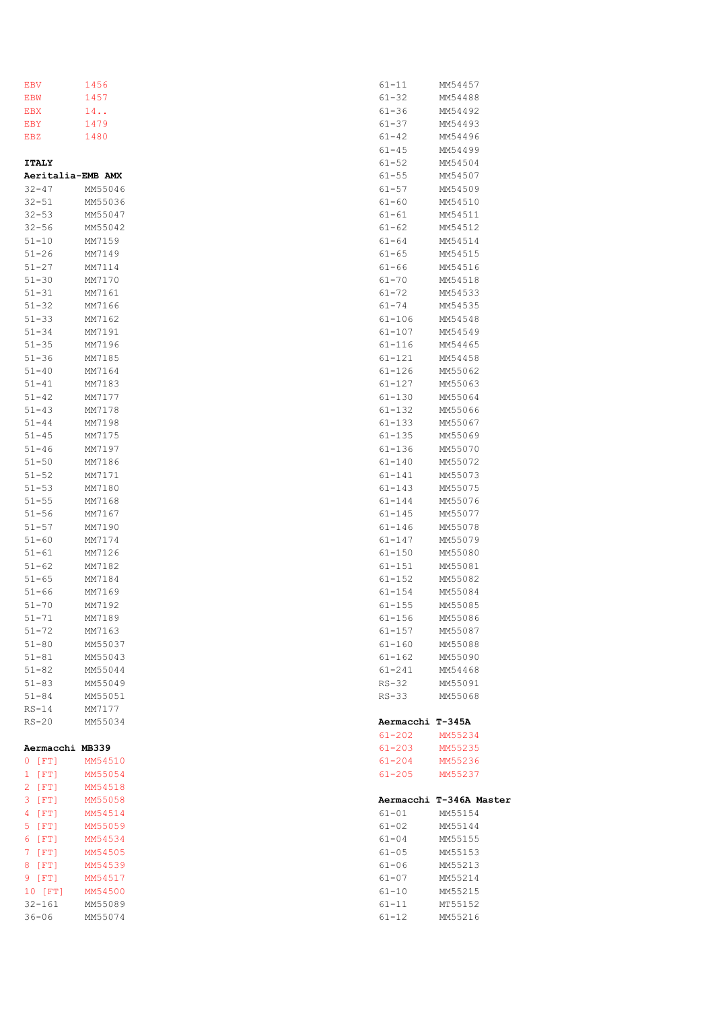| EBV               | 1456    | $61 - 11$                | MM54457                 |
|-------------------|---------|--------------------------|-------------------------|
| EBW               | 1457    | $61 - 32$                | MM54488                 |
| EBX               | 14.     | $61 - 36$                | MM54492                 |
| EBY               | 1479    | $61 - 37$                | MM54493                 |
| EBZ               | 1480    | $61 - 42$                | MM54496                 |
|                   |         | $61 - 45$                | MM54499                 |
| <b>ITALY</b>      |         | $61 - 52$                | MM54504                 |
| Aeritalia-EMB AMX |         | $61 - 55$                | MM54507                 |
| $32 - 47$         | MM55046 | $61 - 57$                | MM54509                 |
| $32 - 51$         | MM55036 | $61 - 60$                | MM54510                 |
| $32 - 53$         | MM55047 | $61 - 61$                | MM54511                 |
| $32 - 56$         | MM55042 | $61 - 62$                | MM54512                 |
| $51 - 10$         | MM7159  | $61 - 64$                | MM54514                 |
| $51 - 26$         | MM7149  | $61 - 65$                | MM54515                 |
| $51 - 27$         | MM7114  | $61 - 66$                | MM54516                 |
|                   |         |                          |                         |
| $51 - 30$         | MM7170  | $61 - 70$                | MM54518                 |
| $51 - 31$         | MM7161  | $61 - 72$                | MM54533                 |
| $51 - 32$         | MM7166  | $61 - 74$                | MM54535                 |
| $51 - 33$         | MM7162  | 61-106                   | MM54548                 |
| $51 - 34$         | MM7191  | $61 - 107$               | MM54549                 |
| $51 - 35$         | MM7196  | $61 - 116$               | MM54465                 |
| $51 - 36$         | MM7185  | $61 - 121$               | MM54458                 |
| $51 - 40$         | MM7164  | $61 - 126$               | MM55062                 |
| $51 - 41$         | MM7183  | $61 - 127$               | MM55063                 |
| $51 - 42$         | MM7177  | 61-130                   | MM55064                 |
| $51 - 43$         | MM7178  | $61 - 132$               | MM55066                 |
| $51 - 44$         | MM7198  | $61 - 133$               | MM55067                 |
| $51 - 45$         | MM7175  | 61-135                   | MM55069                 |
| $51 - 46$         | MM7197  | 61-136                   | MM55070                 |
| $51 - 50$         | MM7186  | $61 - 140$               | MM55072                 |
| $51 - 52$         | MM7171  | $61 - 141$               | MM55073                 |
| $51 - 53$         | MM7180  | $61 - 143$               | MM55075                 |
| $51 - 55$         | MM7168  | 61-144                   | MM55076                 |
| $51 - 56$         | MM7167  | 61-145                   | MM55077                 |
| $51 - 57$         | MM7190  |                          | MM55078                 |
|                   |         | $61 - 146$               |                         |
| $51 - 60$         | MM7174  | 61-147                   | MM55079                 |
| $51 - 61$         | MM7126  | 61-150                   | MM55080                 |
| $51 - 62$         | MM7182  | $61 - 151$               | MM55081                 |
| $51 - 65$         | MM7184  | $61 - 152$               | MM55082                 |
| $51 - 66$         | MM7169  | $61 - 154$               | MM55084                 |
| $51 - 70$         | MM7192  | $61 - 155$               | MM55085                 |
| $51 - 71$         | MM7189  | $61 - 156$               | MM55086                 |
| $51 - 72$         | MM7163  | 61-157                   | MM55087                 |
| $51 - 80$         | MM55037 | $61 - 160$               | MM55088                 |
| $51 - 81$         | MM55043 | 61-162                   | MM55090                 |
| $51 - 82$         | MM55044 | 61-241                   | MM54468                 |
| $51 - 83$         | MM55049 | RS-32                    | MM55091                 |
| $51 - 84$         | MM55051 | $RS-33$                  | MM55068                 |
| $RS-14$           | MM7177  |                          |                         |
| $RS-20$           | MM55034 | Aermacchi T-345A         |                         |
|                   |         |                          | MM55234                 |
| Aermacchi MB339   |         | $61 - 202$<br>$61 - 203$ | MM55235                 |
| $0$ [FT]          | MM54510 | $61 - 204$               | MM55236                 |
| 1 [FT]            | MM55054 | $61 - 205$               | MM55237                 |
| 2 [FT]            | MM54518 |                          |                         |
| $3$ [FT]          | MM55058 |                          | Aermacchi T-346A Master |
| 4 [FT]            | MM54514 | 61-01                    | MM55154                 |
| $5$ [FT]          | MM55059 | $61 - 02$                | MM55144                 |
| 6 [FT]            | MM54534 | $61 - 04$                | MM55155                 |
| 7 [FT]            | MM54505 | $61 - 05$                | MM55153                 |
| 8 [FT]            | MM54539 | 61-06                    | MM55213                 |
| 9 [FT]            | MM54517 | 61-07                    | MM55214                 |
| 10 [FT]           | MM54500 | 61-10                    | MM55215                 |
| 32-161            | MM55089 | 61-11                    | MT55152                 |
| $36 - 06$         | MM55074 | 61-12                    | MM55216                 |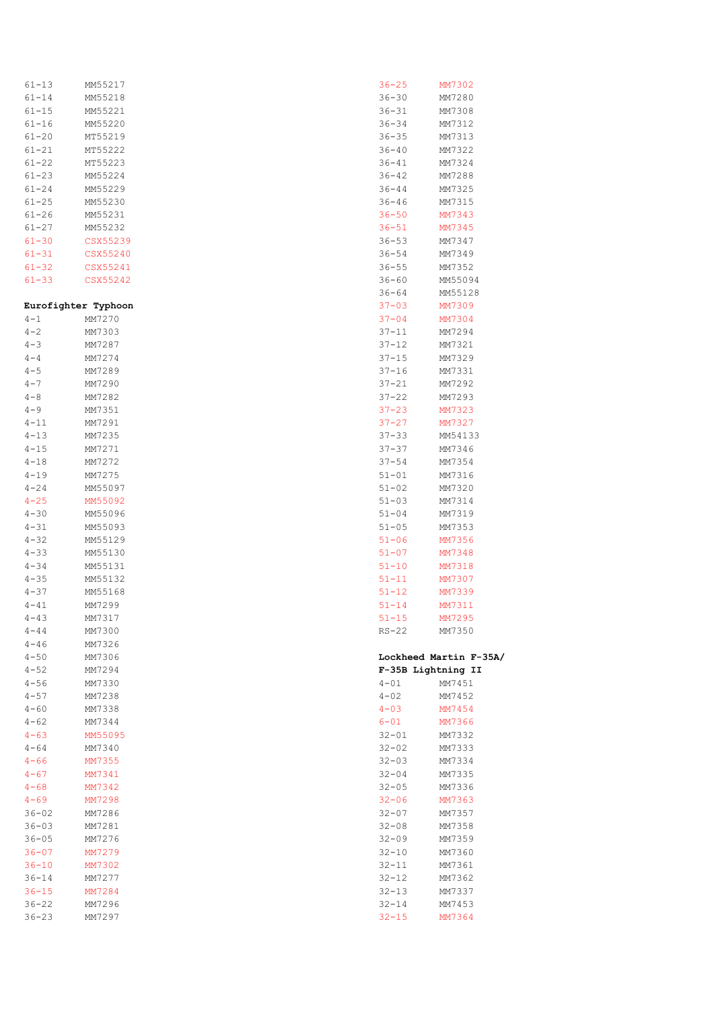| 61-13               | MM55217  |
|---------------------|----------|
| 61-14               | MM55218  |
| $61 - 15$           | MM55221  |
| $61 - 16$           |          |
|                     | MM55220  |
| $61 - 20$           | MT55219  |
| $61 - 21$           | MT55222  |
| $61 - 22$           | MT55223  |
|                     |          |
| $61 - 23$           | MM55224  |
| $61 - 24$           | MM55229  |
| $61 - 25$           | MM55230  |
| $61 - 26$           | MM55231  |
| $61 - 27$           | MM55232  |
|                     |          |
| $61 - 30$           | CSX55239 |
| $61 - 31$           | CSX55240 |
| $61 - 32$           | CSX55241 |
| $61 - 33$           | CSX55242 |
|                     |          |
|                     |          |
| Eurofighter Typhoon |          |
| $4 - 1$             | MM7270   |
| $4 - 2$             | MM7303   |
| $4 - 3$             | MM7287   |
|                     |          |
| $4 - 4$             | MM7274   |
| $4 - 5$             | MM7289   |
| $4 - 7$             | MM7290   |
| $4 - 8$             | MM7282   |
| $4 - 9$             | MM7351   |
|                     |          |
| $4 - 11$            | MM7291   |
| $4 - 13$            | MM7235   |
| $4 - 15$            | MM7271   |
| $4 - 18$            | MM7272   |
| $4 - 19$            | MM7275   |
| $4 - 24$            | MM55097  |
|                     |          |
| $4 - 25$            | MM55092  |
|                     |          |
| $4 - 30$            | MM55096  |
| $4 - 31$            | MM55093  |
| $4 - 32$            | MM55129  |
|                     |          |
| $4 - 33$            | MM55130  |
| $4 - 34$            | MM55131  |
| $4 - 35$            | MM55132  |
| $4 - 37$            | MM55168  |
| $4 - 41$            | MM7299   |
|                     |          |
| $4 - 43$            | MM7317   |
| $4 - 44$            | MM7300   |
| $4 - 46$            | MM7326   |
| $4 - 50$            | MM7306   |
| $4 - 52$            | MM7294   |
| $4 - 56$            | MM7330   |
|                     |          |
| $4 - 57$            | MM7238   |
| $4 - 60$            | MM7338   |
| $4 - 62$            | MM7344   |
| $4 - 63$            | MM55095  |
| $4 - 64$            | MM7340   |
|                     |          |
| $4 - 66$            | MM7355   |
| $4 - 67$            | MM7341   |
| $4 - 68$            | MM7342   |
| $4 - 69$            | MM7298   |
| $36 - 02$           | MM7286   |
| $36 - 03$           | MM7281   |
|                     |          |
| $36 - 05$           | MM7276   |
| $36 - 07$           | MM7279   |
| $36 - 10$           | MM7302   |
| $36 - 14$           | MM7277   |
| $36 - 15$           | MM7284   |
| $36 - 22$           | MM7296   |

| 36-25                  | MM7302                 |
|------------------------|------------------------|
| 36-30                  | MM7280                 |
| 36-31                  | MM7308                 |
| 36-34                  | MM7312                 |
| 36-35                  | MM7313                 |
| $36 - 40$              | MM7322                 |
| $36 - 41$              | MM7324                 |
|                        |                        |
| $36 - 42$              | MM7288                 |
| 36-44                  | MM7325                 |
| $36 - 46$              | MM7315                 |
| $36 - 50$              | MM7343                 |
| $36 - 51$              | MM7345                 |
| $36 - 53$              | MM7347                 |
| 36-54                  | MM7349                 |
| $36 - 55$              | MM7352                 |
| 36-60                  | MM55094                |
| 36-64                  | MM55128                |
| $37 - 03$              | MM7309                 |
| 37-04                  | MM7304                 |
| $37 - 11$              | MM7294                 |
|                        |                        |
| $37 - 12$              | MM7321                 |
| $37 - 15$              | MM7329                 |
| 37-16                  | MM7331                 |
| 37-21                  | MM7292                 |
| 37-22                  | MM7293                 |
| $37 - 23$              | MM7323                 |
| $37 - 27$              | MM7327                 |
| $37 - 33$              | MM54133                |
| 37-37                  | MM7346                 |
| $37 - 54$              | MM7354                 |
| $51 - 01$              | MM7316                 |
|                        |                        |
|                        |                        |
| $51 - 02$              | MM7320                 |
| $51 - 03$              | MM7314                 |
| $51 - 04$              | MM7319                 |
| $51 - 05$              | MM7353                 |
| 51-06                  | MM7356                 |
| $51 - 07$              | MM7348                 |
| $51 - 10$              | MM7318                 |
| 51-11                  | MM7307                 |
| $51 - 12$              | MM7339                 |
| $51 - 14$              | MM7311                 |
| 51-15                  | MM7295                 |
| RS-22                  | MM7350                 |
|                        |                        |
|                        | Lockheed Martin F-35A/ |
|                        | F-35B Lightning II     |
| $4 - 01$               | MM7451                 |
|                        | MM7452                 |
| $4 - 02$               |                        |
| $4 - 03$               | MM7454                 |
| $6 - 01$               | MM7366                 |
| $32 - 01$              | MM7332                 |
| $32 - 02$              | MM7333                 |
| $32 - 03$              | MM7334                 |
| $32 - 04$              | MM7335                 |
| 32-05                  | MM7336                 |
| $32 - 06$              | MM7363                 |
| 32-07                  | MM7357                 |
| $32 - 08$              | MM7358                 |
| $32 - 09$              | MM7359                 |
| $32 - 10$              | MM7360                 |
| 32-11                  | MM7361                 |
| $32 - 12$              | MM7362                 |
|                        |                        |
| $32 - 13$              | MM7337                 |
| $32 - 14$<br>$32 - 15$ | MM7453<br>MM7364       |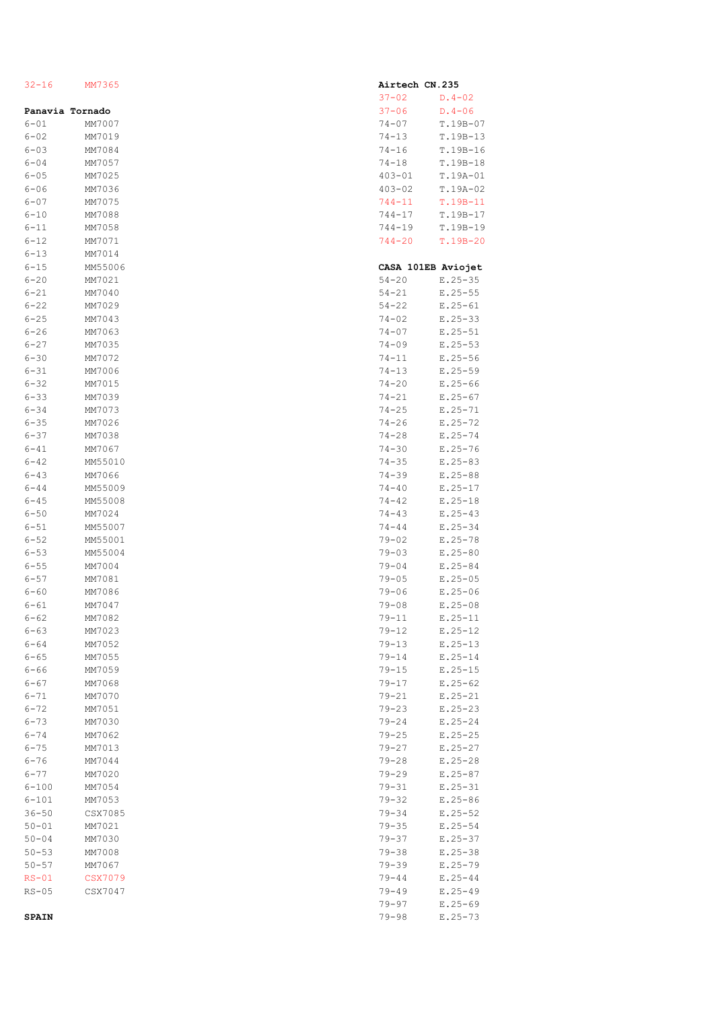| $32 - 16$             | MM7365             |  |
|-----------------------|--------------------|--|
|                       | Panavia Tornado    |  |
| $6 - 01$              | MM7007             |  |
| $6 - 02$              | MM7019             |  |
| $6 - 03$              | MM7084             |  |
| $6 - 04$<br>$6 - 05$  | MM7057<br>MM7025   |  |
| $6 - 06$              | MM7036             |  |
| $6 - 07$              | MM7075             |  |
| $6 - 10$              | MM7088             |  |
| 6-11                  | MM7058             |  |
| $6 - 12$              | MM7071             |  |
| $6 - 13$              | MM7014             |  |
| $6 - 15$<br>$6 - 20$  | MM55006<br>MM7021  |  |
| $6 - 21$              | MM7040             |  |
| $6 - 22$              | MM7029             |  |
| $6 - 25$              | MM7043             |  |
| $6 - 26$              | MM7063             |  |
| $6 - 27$              | MM7035             |  |
| $6 - 30$              | MM7072             |  |
| $6 - 31$              | MM7006             |  |
| $6 - 32$<br>$6 - 33$  | MM7015<br>MM7039   |  |
| $6 - 34$              | MM7073             |  |
| $6 - 35$              | MM7026             |  |
| $6 - 37$              | MM7038             |  |
| $6 - 41$              | MM7067             |  |
| $6 - 42$              | MM55010            |  |
| $6 - 43$              | MM7066             |  |
| $6 - 44$<br>$6 - 45$  | MM55009<br>MM55008 |  |
| $6 - 50$              | MM7024             |  |
| $6 - 51$              | MM55007            |  |
| $6 - 52$              | MM55001            |  |
| $6 - 53$              | MM55004            |  |
| $6 - 55$              | MM7004             |  |
| $6 - 57$<br>$6 - 60$  | MM7081<br>MM7086   |  |
| $6 - 61$              | MM7047             |  |
| $6 - 62$              | MM7082             |  |
| $6 - 63$              | MM7023             |  |
| $6 - 64$              | MM7052             |  |
| $6 - 65$              | MM7055             |  |
| $6 - 66$<br>$6 - 67$  | MM7059<br>MM7068   |  |
| $6 - 71$              | MM7070             |  |
| $6 - 72$              | MM7051             |  |
| $6 - 73$              | MM7030             |  |
| $6 - 74$              | MM7062             |  |
| $6 - 75$              | MM7013             |  |
| $6 - 76$              | MM7044             |  |
| $6 - 77$<br>$6 - 100$ | MM7020<br>MM7054   |  |
| $6 - 101$             | MM7053             |  |
| $36 - 50$             | CSX7085            |  |
| $50 - 01$             | MM7021             |  |
| $50 - 04$             | MM7030             |  |
| $50 - 53$             | MM7008             |  |
| $50 - 57$             | MM7067             |  |
| $RS-01$<br>$RS-05$    | CSX7079<br>CSX7047 |  |
|                       |                    |  |

|           |            | Airtech CN.235     |
|-----------|------------|--------------------|
|           | $37 - 02$  | $D.4 - 02$         |
|           | $37 - 06$  | $D.4 - 06$         |
|           | $74 - 07$  | $T.19B-07$         |
|           | $74 - 13$  | $19B-13$<br>Τ.     |
|           | $74 - 16$  | $19B-16$<br>Τ.     |
|           | $74 - 18$  | $T.19B-18$         |
|           | $403 - 01$ | $T.19A-01$         |
|           |            | $19A - 02$         |
|           | $403 - 02$ | Τ.                 |
|           | $744 - 11$ | $19B - 11$<br>Τ.   |
|           | $744 - 17$ | $19B - 17$<br>Τ.   |
|           | $744 - 19$ | $T.19B-19$         |
|           | 744-20     | T.19B-20           |
|           |            |                    |
|           |            | CASA 101EB Aviojet |
|           | $54 - 20$  | $E.25 - 35$        |
|           | $54 - 21$  | $E.25 - 55$        |
|           | $54 - 22$  | $E.25 - 61$        |
|           | $74 - 02$  | $E.25 - 33$        |
|           | $74 - 07$  | $E.25 - 51$        |
|           | $74 - 09$  | $E.25 - 53$        |
| $74 - 11$ |            | $E.25 - 56$        |
|           | $74 - 13$  | $E.25 - 59$        |
|           |            |                    |
|           | $74 - 20$  | $E.25 - 66$        |
|           | $74 - 21$  | $E.25 - 67$        |
|           | $74 - 25$  | $E.25 - 71$        |
|           | $74 - 26$  | $E.25 - 72$        |
|           | $74 - 28$  | $E.25 - 74$        |
|           | 74-30      | $E.25 - 76$        |
|           | $74 - 35$  | $E.25 - 83$        |
|           | $74 - 39$  | $E.25 - 88$        |
|           | $74 - 40$  | $E.25 - 17$        |
|           | $74 - 42$  | $E.25 - 18$        |
|           | 74-43      | $E.25 - 43$        |
|           | $74 - 44$  | $E.25 - 34$        |
|           | $79 - 02$  | $E.25 - 78$        |
|           | $79 - 03$  | $E.25 - 80$        |
| $79 - 04$ |            | $E.25 - 84$        |
|           | $79 - 05$  | $E.25 - 05$        |
|           |            |                    |
|           | 79-06      | $E.25 - 06$        |
|           | $79 - 08$  | $E.25 - 08$        |
|           | 79-11      | $E.25 - 11$        |
|           | 79-12      | $E.25 - 12$        |
|           | $79 - 13$  | $E.25 - 13$        |
|           | 79-14      | $E.25 - 14$        |
|           | $79 - 15$  | $E.25 - 15$        |
|           | $79 - 17$  | $E.25 - 62$        |
|           | $79 - 21$  | $E.25 - 21$        |
|           | $79 - 23$  | $E.25 - 23$        |
|           | $79 - 24$  | $E.25 - 24$        |
|           | 79-25      | $E.25 - 25$        |
|           | $79 - 27$  | $E.25 - 27$        |
|           | $79 - 28$  | $E.25 - 28$        |
|           | $79 - 29$  | $E.25 - 87$        |
|           | 79-31      | $E.25 - 31$        |
|           | $79 - 32$  | $E.25 - 86$        |
|           | $79 - 34$  | $E.25 - 52$        |
|           | $79 - 35$  | $E.25 - 54$        |
|           |            |                    |
|           | $79 - 37$  | $E.25 - 37$        |
|           | 79-38      | $E.25 - 38$        |
|           | $79 - 39$  | $E.25 - 79$        |
|           | $79 - 44$  | $E.25 - 44$        |
|           | $79 - 49$  | $E.25 - 49$        |
|           | $79 - 97$  | $E.25 - 69$        |
|           | $79 - 98$  | E.25-73            |

## **SPAIN**